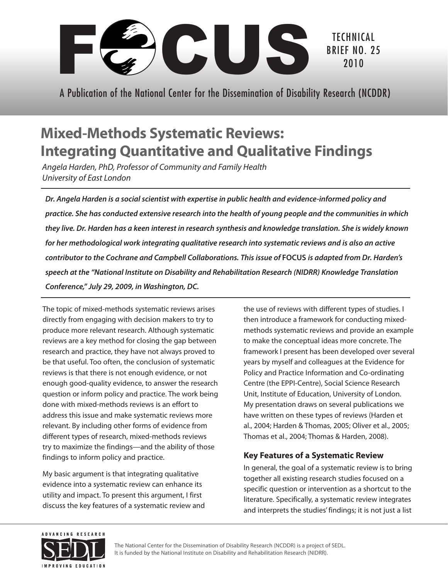

A Publication of the National Center for the Dissemination of Disability Research (NCDDR)

# **Mixed-Methods Systematic Reviews: Integrating Quantitative and Qualitative Findings**

*Angela Harden, PhD, Professor of Community and Family Health University of East London* 

*Dr. Angela Harden is a social scientist with expertise in public health and evidence-informed policy and practice. She has conducted extensive research into the health of young people and the communities in which they live. Dr. Harden has a keen interest in research synthesis and knowledge translation. She is widely known for her methodological work integrating qualitative research into systematic reviews and is also an active contributor to the Cochrane and Campbell Collaborations. This issue of* **FOCUS** *is adapted from Dr. Harden's speech at the "National Institute on Disability and Rehabilitation Research (NIDRR) Knowledge Translation Conference," July 29, 2009, in Washington, DC.* 

The topic of mixed-methods systematic reviews arises directly from engaging with decision makers to try to produce more relevant research. Although systematic reviews are a key method for closing the gap between research and practice, they have not always proved to be that useful. Too often, the conclusion of systematic reviews is that there is not enough evidence, or not enough good-quality evidence, to answer the research question or inform policy and practice. The work being done with mixed-methods reviews is an effort to address this issue and make systematic reviews more relevant. By including other forms of evidence from different types of research, mixed-methods reviews try to maximize the findings—and the ability of those findings to inform policy and practice.

My basic argument is that integrating qualitative evidence into a systematic review can enhance its utility and impact. To present this argument, I first discuss the key features of a systematic review and the use of reviews with different types of studies. I then introduce a framework for conducting mixedmethods systematic reviews and provide an example to make the conceptual ideas more concrete. The framework I present has been developed over several years by myself and colleagues at the Evidence for Policy and Practice Information and Co-ordinating Centre (the EPPI-Centre), Social Science Research Unit, Institute of Education, University of London. My presentation draws on several publications we have written on these types of reviews (Harden et al., 2004; Harden & Thomas, 2005; Oliver et al., 2005; Thomas et al., 2004; Thomas & Harden, 2008).

## **Key Features of a Systematic Review**

In general, the goal of a systematic review is to bring together all existing research studies focused on a specific question or intervention as a shortcut to the literature. Specifically, a systematic review integrates and interprets the studies' findings; it is not just a list



The National Center for the Dissemination of Disability Research (NCDDR) is a project of SEDL. It is funded by the National Institute on Disability and Rehabilitation Research (NIDRR).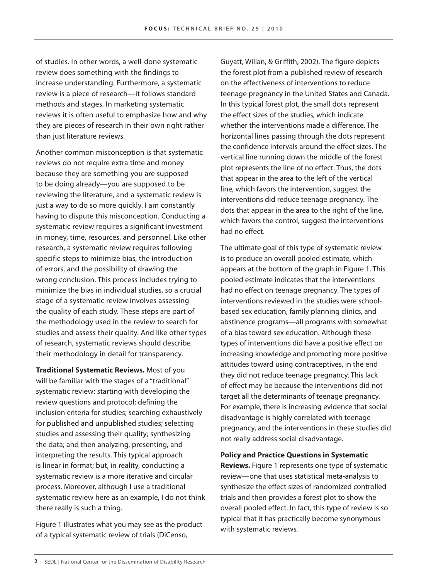of studies. In other words, a well-done systematic review does something with the findings to increase understanding. Furthermore, a systematic review is a piece of research—it follows standard methods and stages. In marketing systematic reviews it is often useful to emphasize how and why they are pieces of research in their own right rather than just literature reviews.

Another common misconception is that systematic reviews do not require extra time and money because they are something you are supposed to be doing already—you are supposed to be reviewing the literature, and a systematic review is just a way to do so more quickly. I am constantly having to dispute this misconception. Conducting a systematic review requires a significant investment in money, time, resources, and personnel. Like other research, a systematic review requires following specific steps to minimize bias, the introduction of errors, and the possibility of drawing the wrong conclusion. This process includes trying to minimize the bias in individual studies, so a crucial stage of a systematic review involves assessing the quality of each study. These steps are part of the methodology used in the review to search for studies and assess their quality. And like other types of research, systematic reviews should describe their methodology in detail for transparency.

**Traditional Systematic Reviews.** Most of you will be familiar with the stages of a "traditional" systematic review: starting with developing the review questions and protocol; defining the inclusion criteria for studies; searching exhaustively for published and unpublished studies; selecting studies and assessing their quality; synthesizing the data; and then analyzing, presenting, and interpreting the results. This typical approach is linear in format; but, in reality, conducting a systematic review is a more iterative and circular process. Moreover, although I use a traditional systematic review here as an example, I do not think there really is such a thing.

Figure 1 illustrates what you may see as the product of a typical systematic review of trials (DiCenso,

Guyatt, Willan, & Griffith, 2002). The figure depicts the forest plot from a published review of research on the effectiveness of interventions to reduce teenage pregnancy in the United States and Canada. In this typical forest plot, the small dots represent the effect sizes of the studies, which indicate whether the interventions made a difference. The horizontal lines passing through the dots represent the confidence intervals around the effect sizes. The vertical line running down the middle of the forest plot represents the line of no effect. Thus, the dots that appear in the area to the left of the vertical line, which favors the intervention, suggest the interventions did reduce teenage pregnancy. The dots that appear in the area to the right of the line, which favors the control, suggest the interventions had no effect.

The ultimate goal of this type of systematic review is to produce an overall pooled estimate, which appears at the bottom of the graph in Figure 1. This pooled estimate indicates that the interventions had no effect on teenage pregnancy. The types of interventions reviewed in the studies were schoolbased sex education, family planning clinics, and abstinence programs—all programs with somewhat of a bias toward sex education. Although these types of interventions did have a positive effect on increasing knowledge and promoting more positive attitudes toward using contraceptives, in the end they did not reduce teenage pregnancy. This lack of effect may be because the interventions did not target all the determinants of teenage pregnancy. For example, there is increasing evidence that social disadvantage is highly correlated with teenage pregnancy, and the interventions in these studies did not really address social disadvantage.

**Policy and Practice Questions in Systematic Reviews.** Figure 1 represents one type of systematic review—one that uses statistical meta-analysis to synthesize the effect sizes of randomized controlled trials and then provides a forest plot to show the overall pooled effect. In fact, this type of review is so typical that it has practically become synonymous with systematic reviews.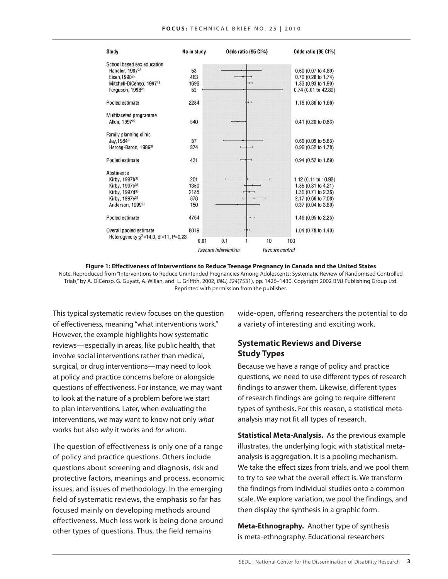| <b>Study</b>                                | No in study | Odds ratio (95 CI%)         | Odds ratio (95 Cl%)    |
|---------------------------------------------|-------------|-----------------------------|------------------------|
| School based sex education                  |             |                             |                        |
| Handler, 1987 <sup>28</sup>                 | 53          |                             | 0.60 (0.07 to 4.89)    |
| Eisen.1990 <sup>25</sup>                    | 483         |                             | 0.70 (0.28 to 1.74)    |
| Mitchell-DiCenso, 1997 <sup>18</sup>        | 1696        |                             | 1.33 (0.93 to 1.90)    |
| Ferguson, 1998 <sup>26</sup>                | 52          |                             | 0.74 (0.01 to 42.89)   |
| Pooled estimate                             | 2284        |                             | 1.19 (0.86 to 1.66)    |
| Multifaceted programme                      |             |                             |                        |
| Allen, 199720                               | 540         |                             | 0.41 (0.20 to 0.83)    |
| Family planning clinic                      |             |                             |                        |
| Jav.198431                                  | 57          |                             | $0.69$ (0.09 to 5.63)  |
| Herceg-Baron, 1986 <sup>30</sup>            | 374         |                             | 0.96 (0.52 to 1.78)    |
| Pooled estimate                             | 431         |                             | 0.94 (0.52 to 1.69)    |
| Abstinence                                  |             |                             |                        |
| Kirby, 1997b33                              | 201         |                             | 1.12 (0.11 to 10.92)   |
| Kirby, 1997c33                              | 1350        |                             | 1.85 (0.81 to 4.21)    |
| Kirby, 1997d33                              | 2185        |                             | 1.30 (0.71 to 2.36)    |
| Kirby, 1997e <sup>33</sup>                  | 878         |                             | 2.17 (0.66 to 7.08)    |
| Anderson, 1999 <sup>21</sup>                | 150         |                             | 0.37 (0.04 to 3.80)    |
| Pooled estimate                             | 4764        |                             | 1.46 (0.95 to 2.25)    |
| Overall pooled estimate                     | 8019        |                             | 1.04 (0.78 to 1.40)    |
| Heterogeneity $\chi^2$ =14.0, df=11, P=0.23 | 0.01        | 10<br>0.1                   | 100                    |
|                                             |             | <b>Favours intervention</b> | <b>Eavours</b> control |

**Figure 1: Effectiveness of Interventions to Reduce Teenage Pregnancy in Canada and the United States** Note. Reproduced from "Interventions to Reduce Unintended Pregnancies Among Adolescents: Systematic Review of Randomised Controlled Trials," by A. DiCenso, G. Guyatt, A. Willan, and L. Griffith, 2002, *BMJ, 324*(7531), pp. 1426–1430. Copyright 2002 BMJ Publishing Group Ltd. Reprinted with permission from the publisher.

This typical systematic review focuses on the question of effectiveness, meaning "what interventions work." However, the example highlights how systematic reviews—especially in areas, like public health, that involve social interventions rather than medical, surgical, or drug interventions—may need to look at policy and practice concerns before or alongside questions of effectiveness. For instance, we may want to look at the nature of a problem before we start to plan interventions. Later, when evaluating the interventions, we may want to know not only *what* works but also *why* it works and *for whom*.

The question of effectiveness is only one of a range of policy and practice questions. Others include questions about screening and diagnosis, risk and protective factors, meanings and process, economic issues, and issues of methodology. In the emerging field of systematic reviews, the emphasis so far has focused mainly on developing methods around effectiveness. Much less work is being done around other types of questions. Thus, the field remains

wide-open, offering researchers the potential to do a variety of interesting and exciting work.

### **Systematic Reviews and Diverse Study Types**

Because we have a range of policy and practice questions, we need to use different types of research findings to answer them. Likewise, different types of research findings are going to require different types of synthesis. For this reason, a statistical metaanalysis may not fit all types of research.

**Statistical Meta-Analysis.** As the previous example illustrates, the underlying logic with statistical metaanalysis is aggregation. It is a pooling mechanism. We take the effect sizes from trials, and we pool them to try to see what the overall effect is. We transform the findings from individual studies onto a common scale. We explore variation, we pool the findings, and then display the synthesis in a graphic form.

**Meta-Ethnography.** Another type of synthesis is meta-ethnography. Educational researchers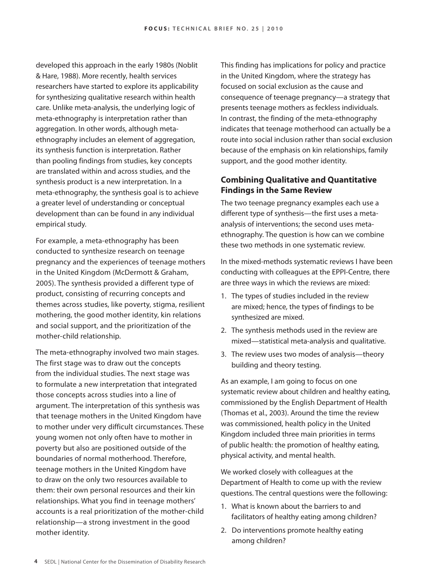developed this approach in the early 1980s (Noblit & Hare, 1988). More recently, health services researchers have started to explore its applicability for synthesizing qualitative research within health care. Unlike meta-analysis, the underlying logic of meta-ethnography is interpretation rather than aggregation. In other words, although metaethnography includes an element of aggregation, its synthesis function is interpretation. Rather than pooling findings from studies, key concepts are translated within and across studies, and the synthesis product is a new interpretation. In a meta-ethnography, the synthesis goal is to achieve a greater level of understanding or conceptual development than can be found in any individual empirical study.

For example, a meta-ethnography has been conducted to synthesize research on teenage pregnancy and the experiences of teenage mothers in the United Kingdom (McDermott & Graham, 2005). The synthesis provided a different type of product, consisting of recurring concepts and themes across studies, like poverty, stigma, resilient mothering, the good mother identity, kin relations and social support, and the prioritization of the mother-child relationship.

The meta-ethnography involved two main stages. The first stage was to draw out the concepts from the individual studies. The next stage was to formulate a new interpretation that integrated those concepts across studies into a line of argument. The interpretation of this synthesis was that teenage mothers in the United Kingdom have to mother under very difficult circumstances. These young women not only often have to mother in poverty but also are positioned outside of the boundaries of normal motherhood. Therefore, teenage mothers in the United Kingdom have to draw on the only two resources available to them: their own personal resources and their kin relationships. What you find in teenage mothers' accounts is a real prioritization of the mother-child relationship—a strong investment in the good mother identity.

This finding has implications for policy and practice in the United Kingdom, where the strategy has focused on social exclusion as the cause and consequence of teenage pregnancy—a strategy that presents teenage mothers as feckless individuals. In contrast, the finding of the meta-ethnography indicates that teenage motherhood can actually be a route into social inclusion rather than social exclusion because of the emphasis on kin relationships, family support, and the good mother identity.

### **Combining Qualitative and Quantitative Findings in the Same Review**

The two teenage pregnancy examples each use a different type of synthesis—the first uses a metaanalysis of interventions; the second uses metaethnography. The question is how can we combine these two methods in one systematic review.

In the mixed-methods systematic reviews I have been conducting with colleagues at the EPPI-Centre, there are three ways in which the reviews are mixed:

- 1. The types of studies included in the review are mixed; hence, the types of findings to be synthesized are mixed.
- 2. The synthesis methods used in the review are mixed—statistical meta-analysis and qualitative.
- 3. The review uses two modes of analysis—theory building and theory testing.

As an example, I am going to focus on one systematic review about children and healthy eating, commissioned by the English Department of Health (Thomas et al., 2003). Around the time the review was commissioned, health policy in the United Kingdom included three main priorities in terms of public health: the promotion of healthy eating, physical activity, and mental health.

We worked closely with colleagues at the Department of Health to come up with the review questions. The central questions were the following:

- 1. What is known about the barriers to and facilitators of healthy eating among children?
- 2. Do interventions promote healthy eating among children?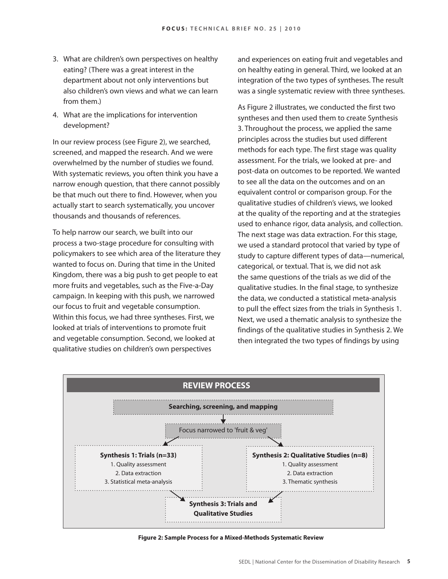- 3. What are children's own perspectives on healthy eating? (There was a great interest in the department about not only interventions but also children's own views and what we can learn from them.)
- 4. What are the implications for intervention development?

In our review process (see Figure 2), we searched, screened, and mapped the research. And we were overwhelmed by the number of studies we found. With systematic reviews, you often think you have a narrow enough question, that there cannot possibly be that much out there to find. However, when you actually start to search systematically, you uncover thousands and thousands of references.

To help narrow our search, we built into our process a two-stage procedure for consulting with policymakers to see which area of the literature they wanted to focus on. During that time in the United Kingdom, there was a big push to get people to eat more fruits and vegetables, such as the Five-a-Day campaign. In keeping with this push, we narrowed our focus to fruit and vegetable consumption. Within this focus, we had three syntheses. First, we looked at trials of interventions to promote fruit and vegetable consumption. Second, we looked at qualitative studies on children's own perspectives

and experiences on eating fruit and vegetables and on healthy eating in general. Third, we looked at an integration of the two types of syntheses. The result was a single systematic review with three syntheses.

As Figure 2 illustrates, we conducted the first two syntheses and then used them to create Synthesis 3. Throughout the process, we applied the same principles across the studies but used different methods for each type. The first stage was quality assessment. For the trials, we looked at pre- and post-data on outcomes to be reported. We wanted to see all the data on the outcomes and on an equivalent control or comparison group. For the qualitative studies of children's views, we looked at the quality of the reporting and at the strategies used to enhance rigor, data analysis, and collection. The next stage was data extraction. For this stage, we used a standard protocol that varied by type of study to capture different types of data—numerical, categorical, or textual. That is, we did not ask the same questions of the trials as we did of the qualitative studies. In the final stage, to synthesize the data, we conducted a statistical meta-analysis to pull the effect sizes from the trials in Synthesis 1. Next, we used a thematic analysis to synthesize the findings of the qualitative studies in Synthesis 2. We then integrated the two types of findings by using



**Figure 2: Sample Process for a Mixed-Methods Systematic Review**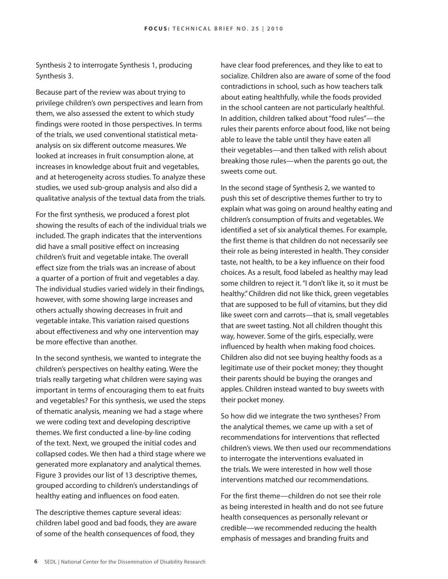Synthesis 2 to interrogate Synthesis 1, producing Synthesis 3.

Because part of the review was about trying to privilege children's own perspectives and learn from them, we also assessed the extent to which study findings were rooted in those perspectives. In terms of the trials, we used conventional statistical metaanalysis on six different outcome measures. We looked at increases in fruit consumption alone, at increases in knowledge about fruit and vegetables, and at heterogeneity across studies. To analyze these studies, we used sub-group analysis and also did a qualitative analysis of the textual data from the trials.

For the first synthesis, we produced a forest plot showing the results of each of the individual trials we included. The graph indicates that the interventions did have a small positive effect on increasing children's fruit and vegetable intake. The overall effect size from the trials was an increase of about a quarter of a portion of fruit and vegetables a day. The individual studies varied widely in their findings, however, with some showing large increases and others actually showing decreases in fruit and vegetable intake. This variation raised questions about effectiveness and why one intervention may be more effective than another.

In the second synthesis, we wanted to integrate the children's perspectives on healthy eating. Were the trials really targeting what children were saying was important in terms of encouraging them to eat fruits and vegetables? For this synthesis, we used the steps of thematic analysis, meaning we had a stage where we were coding text and developing descriptive themes. We first conducted a line-by-line coding of the text. Next, we grouped the initial codes and collapsed codes. We then had a third stage where we generated more explanatory and analytical themes. Figure 3 provides our list of 13 descriptive themes, grouped according to children's understandings of healthy eating and influences on food eaten.

The descriptive themes capture several ideas: children label good and bad foods, they are aware of some of the health consequences of food, they

have clear food preferences, and they like to eat to socialize. Children also are aware of some of the food contradictions in school, such as how teachers talk about eating healthfully, while the foods provided in the school canteen are not particularly healthful. In addition, children talked about "food rules"—the rules their parents enforce about food, like not being able to leave the table until they have eaten all their vegetables—and then talked with relish about breaking those rules—when the parents go out, the sweets come out.

In the second stage of Synthesis 2, we wanted to push this set of descriptive themes further to try to explain what was going on around healthy eating and children's consumption of fruits and vegetables. We identified a set of six analytical themes. For example, the first theme is that children do not necessarily see their role as being interested in health. They consider taste, not health, to be a key influence on their food choices. As a result, food labeled as healthy may lead some children to reject it. "I don't like it, so it must be healthy." Children did not like thick, green vegetables that are supposed to be full of vitamins, but they did like sweet corn and carrots—that is, small vegetables that are sweet tasting. Not all children thought this way, however. Some of the girls, especially, were influenced by health when making food choices. Children also did not see buying healthy foods as a legitimate use of their pocket money; they thought their parents should be buying the oranges and apples. Children instead wanted to buy sweets with their pocket money.

So how did we integrate the two syntheses? From the analytical themes, we came up with a set of recommendations for interventions that reflected children's views. We then used our recommendations to interrogate the interventions evaluated in the trials. We were interested in how well those interventions matched our recommendations.

For the first theme—children do not see their role as being interested in health and do not see future health consequences as personally relevant or credible—we recommended reducing the health emphasis of messages and branding fruits and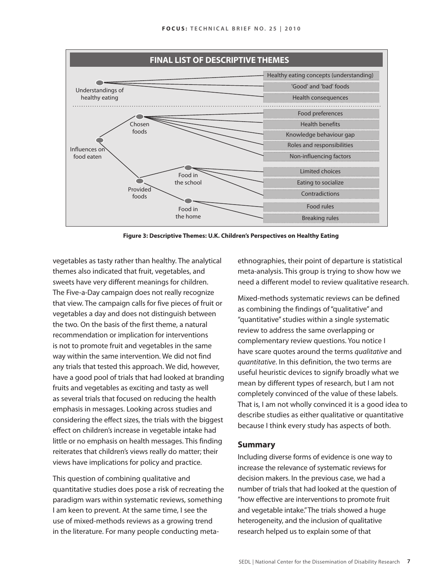

**Figure 3: Descriptive Themes: U.K. Children's Perspectives on Healthy Eating**

vegetables as tasty rather than healthy. The analytical themes also indicated that fruit, vegetables, and sweets have very different meanings for children. The Five-a-Day campaign does not really recognize that view. The campaign calls for five pieces of fruit or vegetables a day and does not distinguish between the two. On the basis of the first theme, a natural recommendation or implication for interventions is not to promote fruit and vegetables in the same way within the same intervention. We did not find any trials that tested this approach. We did, however, have a good pool of trials that had looked at branding fruits and vegetables as exciting and tasty as well as several trials that focused on reducing the health emphasis in messages. Looking across studies and considering the effect sizes, the trials with the biggest effect on children's increase in vegetable intake had little or no emphasis on health messages. This finding reiterates that children's views really do matter; their views have implications for policy and practice.

This question of combining qualitative and quantitative studies does pose a risk of recreating the paradigm wars within systematic reviews, something I am keen to prevent. At the same time, I see the use of mixed-methods reviews as a growing trend in the literature. For many people conducting metaethnographies, their point of departure is statistical meta-analysis. This group is trying to show how we need a different model to review qualitative research.

Mixed-methods systematic reviews can be defined as combining the findings of "qualitative" and "quantitative" studies within a single systematic review to address the same overlapping or complementary review questions. You notice I have scare quotes around the terms *qualitative* and *quantitative*. In this definition, the two terms are useful heuristic devices to signify broadly what we mean by different types of research, but I am not completely convinced of the value of these labels. That is, I am not wholly convinced it is a good idea to describe studies as either qualitative or quantitative because I think every study has aspects of both.

#### **Summary**

Including diverse forms of evidence is one way to increase the relevance of systematic reviews for decision makers. In the previous case, we had a number of trials that had looked at the question of "how effective are interventions to promote fruit and vegetable intake." The trials showed a huge heterogeneity, and the inclusion of qualitative research helped us to explain some of that